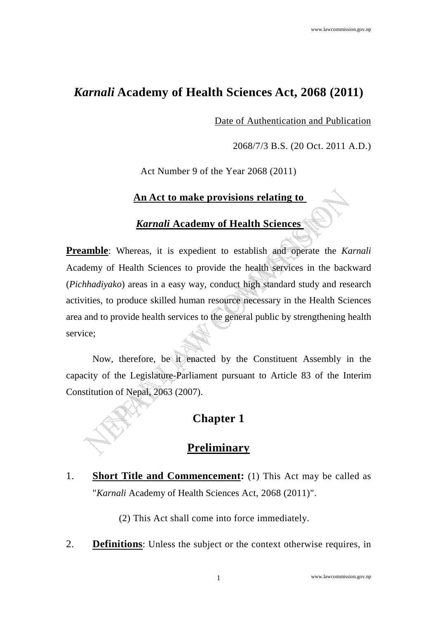## *Karnali* **Academy of Health Sciences Act, 2068 (2011)**

Date of Authentication and Publication

2068/7/3 B.S. (20 Oct. 2011 A.D.)

Act Number 9 of the Year 2068 (2011)

#### **An Act to make provisions relating to**

#### *Karnali* **Academy of Health Sciences**

**Preamble**: Whereas, it is expedient to establish and operate the *Karnali* Academy of Health Sciences to provide the health services in the backward (*Pichhadiyako*) areas in a easy way, conduct high standard study and research activities, to produce skilled human resource necessary in the Health Sciences area and to provide health services to the general public by strengthening health service;

Now, therefore, be it enacted by the Constituent Assembly in the capacity of the Legislature-Parliament pursuant to Article 83 of the Interim Constitution of Nepal, 2063 (2007).

## **Chapter 1**

## **Preliminary**

1. **Short Title and Commencement:** (1) This Act may be called as "*Karnali* Academy of Health Sciences Act, 2068 (2011)".

(2) This Act shall come into force immediately.

2. **Definitions**: Unless the subject or the context otherwise requires, in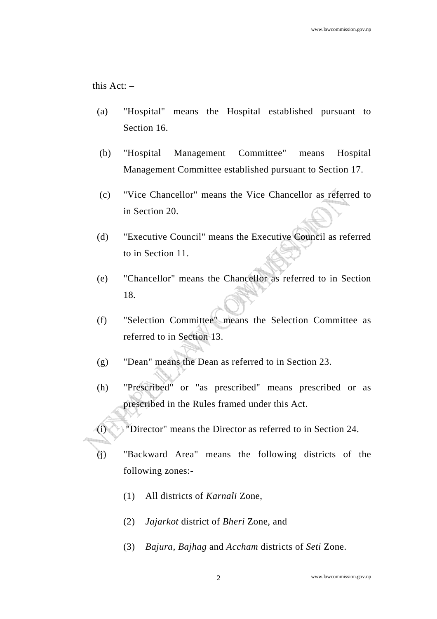this Act: –

- (a) "Hospital" means the Hospital established pursuant to Section 16.
- (b) "Hospital Management Committee" means Hospital Management Committee established pursuant to Section 17.
- (c) "Vice Chancellor" means the Vice Chancellor as referred to in Section 20.
- (d) "Executive Council" means the Executive Council as referred to in Section 11.
- (e) "Chancellor" means the Chancellor as referred to in Section 18.
- (f) "Selection Committee" means the Selection Committee as referred to in Section 13.
- (g) "Dean" means the Dean as referred to in Section 23.
- (h) "Prescribed" or "as prescribed" means prescribed or as prescribed in the Rules framed under this Act.
- (i) "Director" means the Director as referred to in Section 24.
- (j) "Backward Area" means the following districts of the following zones:-
	- (1) All districts of *Karnali* Zone,
	- (2) *Jajarkot* district of *Bheri* Zone, and
	- (3) *Bajura, Bajhag* and *Accham* districts of *Seti* Zone.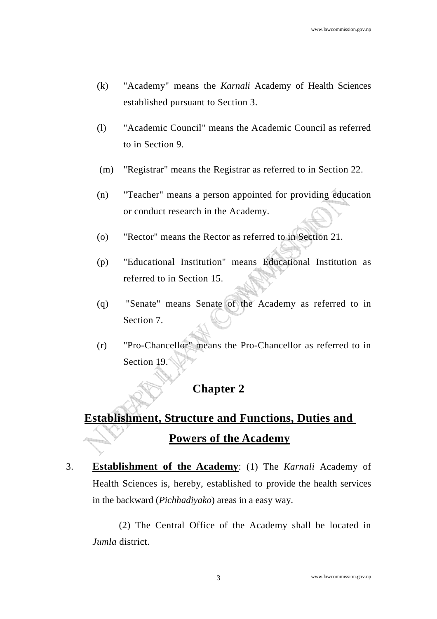- (k) "Academy" means the *Karnali* Academy of Health Sciences established pursuant to Section 3.
- (l) "Academic Council" means the Academic Council as referred to in Section 9.
- (m) "Registrar" means the Registrar as referred to in Section 22.
- (n) "Teacher" means a person appointed for providing education or conduct research in the Academy.
- (o) "Rector" means the Rector as referred to in Section 21.
- (p) "Educational Institution" means Educational Institution as referred to in Section 15.
- (q) "Senate" means Senate of the Academy as referred to in Section 7.
- (r) "Pro-Chancellor" means the Pro-Chancellor as referred to in Section 19.

#### **Chapter 2**

# **Establishment, Structure and Functions, Duties and Powers of the Academy**

3. **Establishment of the Academy**: (1) The *Karnali* Academy of Health Sciences is, hereby, established to provide the health services in the backward (*Pichhadiyako*) areas in a easy way.

 (2) The Central Office of the Academy shall be located in *Jumla* district.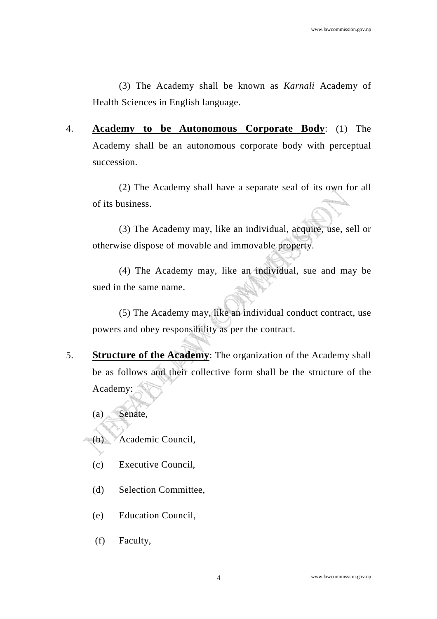(3) The Academy shall be known as *Karnali* Academy of Health Sciences in English language.

4. **Academy to be Autonomous Corporate Body**: (1) The Academy shall be an autonomous corporate body with perceptual succession.

 (2) The Academy shall have a separate seal of its own for all of its business.

 (3) The Academy may, like an individual, acquire, use, sell or otherwise dispose of movable and immovable property.

 (4) The Academy may, like an individual, sue and may be sued in the same name.

 (5) The Academy may, like an individual conduct contract, use powers and obey responsibility as per the contract.

5. **Structure of the Academy**: The organization of the Academy shall be as follows and their collective form shall be the structure of the Academy:

(a) Senate,

(b) Academic Council,

- (c) Executive Council,
- (d) Selection Committee,
- (e) Education Council,
- (f) Faculty,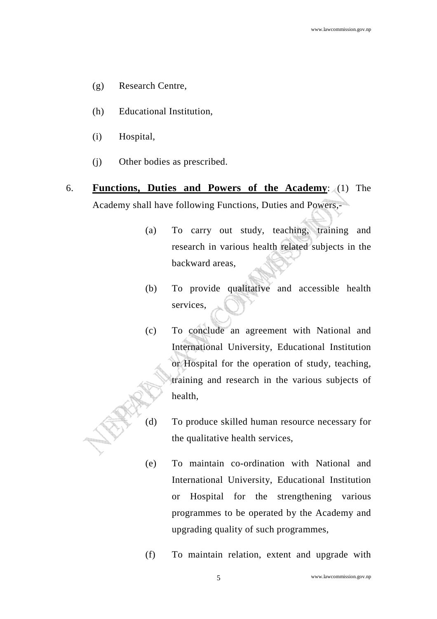- (g) Research Centre,
- (h) Educational Institution,
- (i) Hospital,
- (j) Other bodies as prescribed.
- 6. **Functions, Duties and Powers of the Academy**: (1) The Academy shall have following Functions, Duties and Powers,-
	- (a) To carry out study, teaching, training and research in various health related subjects in the backward areas,
	- (b) To provide qualitative and accessible health services,
	- (c) To conclude an agreement with National and International University, Educational Institution or Hospital for the operation of study, teaching, training and research in the various subjects of health,
	- (d) To produce skilled human resource necessary for the qualitative health services,
	- (e) To maintain co-ordination with National and International University, Educational Institution or Hospital for the strengthening various programmes to be operated by the Academy and upgrading quality of such programmes,
	- (f) To maintain relation, extent and upgrade with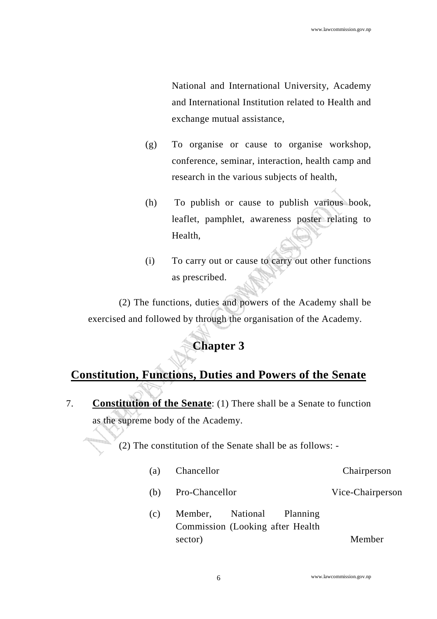National and International University, Academy and International Institution related to Health and exchange mutual assistance,

- (g) To organise or cause to organise workshop, conference, seminar, interaction, health camp and research in the various subjects of health,
- (h) To publish or cause to publish various book, leaflet, pamphlet, awareness poster relating to Health,
- (i) To carry out or cause to carry out other functions as prescribed.

(2) The functions, duties and powers of the Academy shall be exercised and followed by through the organisation of the Academy.

# **Chapter 3**

## **Constitution, Functions, Duties and Powers of the Senate**

7. **Constitution of the Senate**: (1) There shall be a Senate to function as the supreme body of the Academy.

(2) The constitution of the Senate shall be as follows: -

- (a) Chancellor Chairperson
- (b) Pro-Chancellor Vice-Chairperson
- (c) Member, National Planning Commission (Looking after Health sector) Member

www.lawcommission.gov.np 6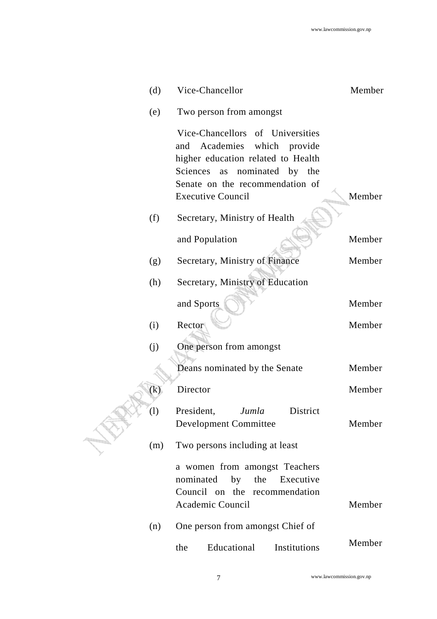| (d) | Vice-Chancellor                                                                                                                                                                                            | Member |
|-----|------------------------------------------------------------------------------------------------------------------------------------------------------------------------------------------------------------|--------|
| (e) | Two person from amongst                                                                                                                                                                                    |        |
|     | Vice-Chancellors of Universities<br>and Academies which provide<br>higher education related to Health<br>nominated by the<br>Sciences<br>as<br>Senate on the recommendation of<br><b>Executive Council</b> | Member |
| (f) | Secretary, Ministry of Health                                                                                                                                                                              |        |
|     | and Population                                                                                                                                                                                             | Member |
| (g) | Secretary, Ministry of Finance                                                                                                                                                                             | Member |
| (h) | Secretary, Ministry of Education                                                                                                                                                                           |        |
|     | and Sports                                                                                                                                                                                                 | Member |
| (i) | Rector                                                                                                                                                                                                     | Member |
| (j) | One person from amongst                                                                                                                                                                                    |        |
|     | Deans nominated by the Senate                                                                                                                                                                              | Member |
| (k) | Director                                                                                                                                                                                                   | Member |
| (1) | President,<br>Jumla<br>District<br><b>Development Committee</b>                                                                                                                                            | Member |
| (m) | Two persons including at least                                                                                                                                                                             |        |
|     | a women from amongst Teachers<br>nominated by the<br>Executive<br>Council on the recommendation<br>Academic Council                                                                                        | Member |
| (n) | One person from amongst Chief of                                                                                                                                                                           |        |
|     | Educational<br>Institutions<br>the                                                                                                                                                                         | Member |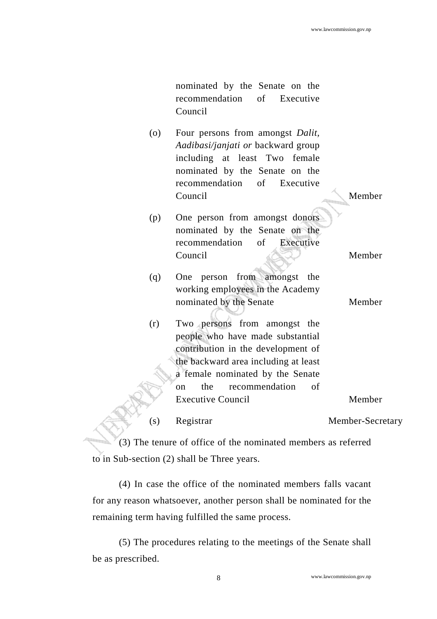nominated by the Senate on the recommendation of Executive Council

- (o) Four persons from amongst *Dalit, Aadibasi/janjati or* backward group including at least Two female nominated by the Senate on the recommendation of Executive Council Member
- (p) One person from amongst donors nominated by the Senate on the recommendation of Executive Council Member
- (q) One person from amongst the working employees in the Academy nominated by the Senate Member
- (r) Two persons from amongst the people who have made substantial contribution in the development of the backward area including at least a female nominated by the Senate on the recommendation of Executive Council Member

(s) Registrar Member-Secretary

 (3) The tenure of office of the nominated members as referred to in Sub-section (2) shall be Three years.

 (4) In case the office of the nominated members falls vacant for any reason whatsoever, another person shall be nominated for the remaining term having fulfilled the same process.

 (5) The procedures relating to the meetings of the Senate shall be as prescribed.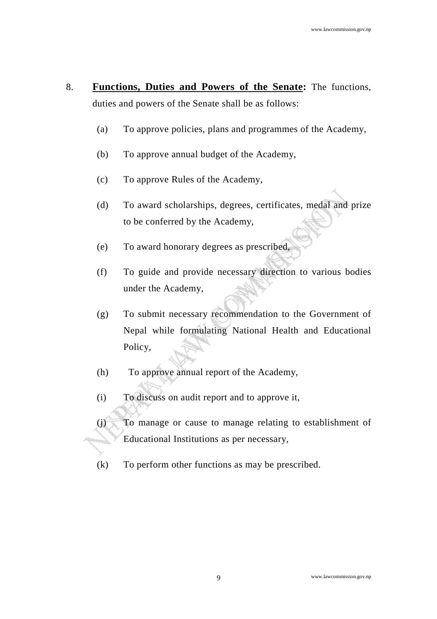- 8. **Functions, Duties and Powers of the Senate:** The functions, duties and powers of the Senate shall be as follows:
	- (a) To approve policies, plans and programmes of the Academy,
	- (b) To approve annual budget of the Academy,
	- (c) To approve Rules of the Academy,
	- (d) To award scholarships, degrees, certificates, medal and prize to be conferred by the Academy,
	- (e) To award honorary degrees as prescribed,
	- (f) To guide and provide necessary direction to various bodies under the Academy,
	- (g) To submit necessary recommendation to the Government of Nepal while formulating National Health and Educational Policy,
	- (h) To approve annual report of the Academy,
	- (i) To discuss on audit report and to approve it,
	- (j) To manage or cause to manage relating to establishment of Educational Institutions as per necessary,
	- (k) To perform other functions as may be prescribed.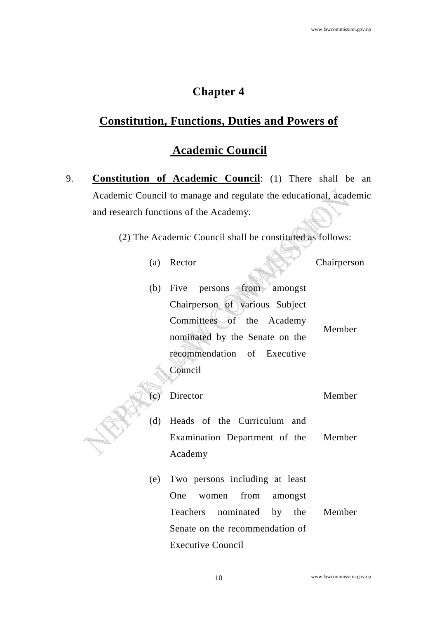#### **Chapter 4**

#### **Constitution, Functions, Duties and Powers of**

#### **Academic Council**

9. **Constitution of Academic Council**: (1) There shall be an Academic Council to manage and regulate the educational, academic and research functions of the Academy.

(2) The Academic Council shall be constituted as follows:

(a) Rector Chairperson

(b) Five persons from amongst Chairperson of various Subject Committees of the Academy nominated by the Senate on the recommendation of Executive Council

Member

(c) Director Member (d) Heads of the Curriculum and

Examination Department of the Academy Member

(e) Two persons including at least One women from amongst Teachers nominated by the Senate on the recommendation of Executive Council Member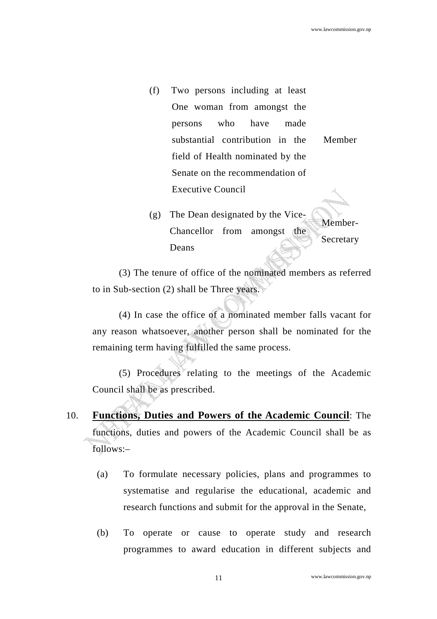- (f) Two persons including at least One woman from amongst the persons who have made substantial contribution in the field of Health nominated by the Senate on the recommendation of Executive Council Member
- (g) The Dean designated by the Vice-Chancellor from amongst the Deans Member-Secretary

 (3) The tenure of office of the nominated members as referred to in Sub-section (2) shall be Three years.

 (4) In case the office of a nominated member falls vacant for any reason whatsoever, another person shall be nominated for the remaining term having fulfilled the same process.

 (5) Procedures relating to the meetings of the Academic Council shall be as prescribed.

- 10. **Functions, Duties and Powers of the Academic Council**: The functions, duties and powers of the Academic Council shall be as follows:–
	- (a) To formulate necessary policies, plans and programmes to systematise and regularise the educational, academic and research functions and submit for the approval in the Senate,
	- (b) To operate or cause to operate study and research programmes to award education in different subjects and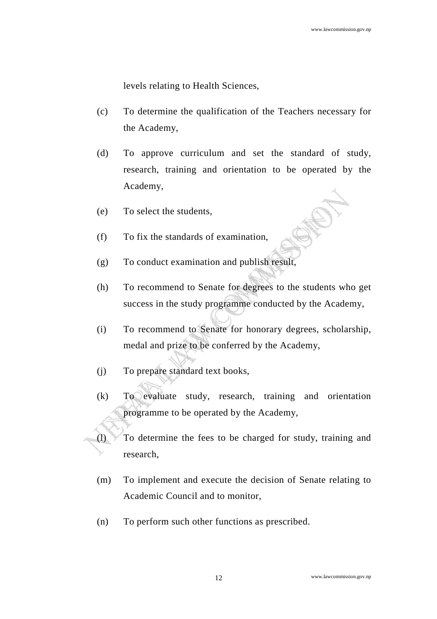levels relating to Health Sciences,

- (c) To determine the qualification of the Teachers necessary for the Academy,
- (d) To approve curriculum and set the standard of study, research, training and orientation to be operated by the Academy,
- (e) To select the students,
- (f) To fix the standards of examination,
- (g) To conduct examination and publish result,
- (h) To recommend to Senate for degrees to the students who get success in the study programme conducted by the Academy,
- (i) To recommend to Senate for honorary degrees, scholarship, medal and prize to be conferred by the Academy,
- (j) To prepare standard text books,
- (k) To evaluate study, research, training and orientation programme to be operated by the Academy,
- (l) To determine the fees to be charged for study, training and research,
	- (m) To implement and execute the decision of Senate relating to Academic Council and to monitor,
	- (n) To perform such other functions as prescribed.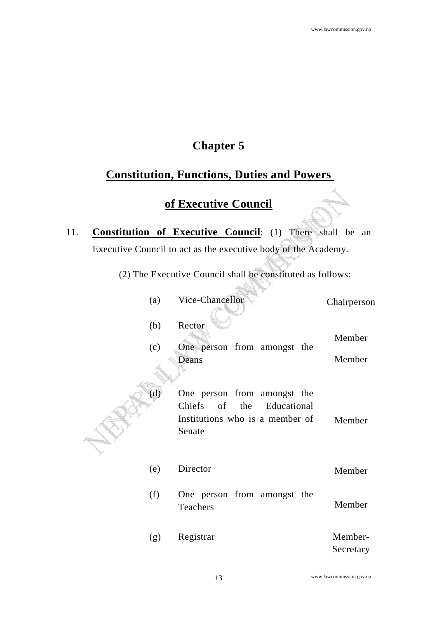le anno

## **Chapter 5**

## **Constitution, Functions, Duties and Powers**

#### **of Executive Council**

- 11. **Constitution of Executive Council**: (1) There shall be an Executive Council to act as the executive body of the Academy.
	- (2) The Executive Council shall be constituted as follows: - A

| (a) | Vice-Chancellor                 | Chairperson |
|-----|---------------------------------|-------------|
| (b) | Rector                          | Member      |
| (c) | One person from amongst the     |             |
|     | Deans                           | Member      |
| (d) | One person from amongst the     |             |
|     | Chiefs of the Educational       |             |
|     | Institutions who is a member of | Member      |
|     | Senate                          |             |

- (e) Director Member
- (f) One person from amongst the Teachers Member
- (g) Registrar Member-Secretary

www.lawcommission.gov.np 13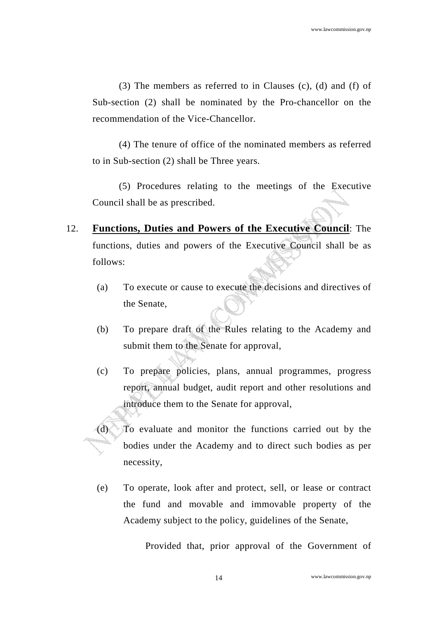(3) The members as referred to in Clauses (c), (d) and (f) of Sub-section (2) shall be nominated by the Pro-chancellor on the recommendation of the Vice-Chancellor.

 (4) The tenure of office of the nominated members as referred to in Sub-section (2) shall be Three years.

 (5) Procedures relating to the meetings of the Executive Council shall be as prescribed.

- 12. **Functions, Duties and Powers of the Executive Council**: The functions, duties and powers of the Executive Council shall be as follows:
	- (a) To execute or cause to execute the decisions and directives of the Senate,
	- (b) To prepare draft of the Rules relating to the Academy and submit them to the Senate for approval,
	- (c) To prepare policies, plans, annual programmes, progress report, annual budget, audit report and other resolutions and introduce them to the Senate for approval,
	- (d) To evaluate and monitor the functions carried out by the bodies under the Academy and to direct such bodies as per necessity,
		- (e) To operate, look after and protect, sell, or lease or contract the fund and movable and immovable property of the Academy subject to the policy, guidelines of the Senate,

Provided that, prior approval of the Government of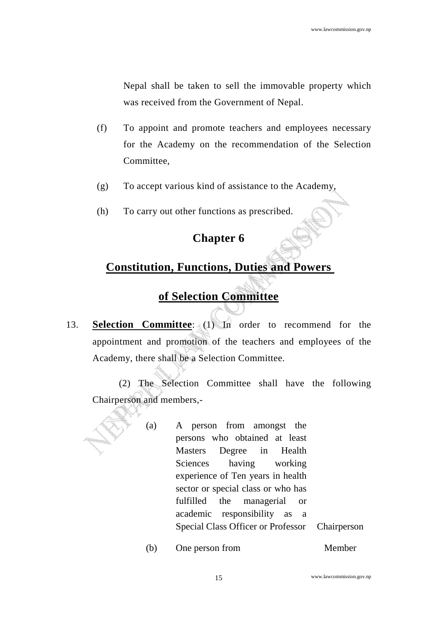Nepal shall be taken to sell the immovable property which was received from the Government of Nepal.

- (f) To appoint and promote teachers and employees necessary for the Academy on the recommendation of the Selection Committee,
- (g) To accept various kind of assistance to the Academy,
- (h) To carry out other functions as prescribed.

#### **Chapter 6**

## **Constitution, Functions, Duties and Powers**

## **of Selection Committee**

13. **Selection Committee**: (1) In order to recommend for the appointment and promotion of the teachers and employees of the Academy, there shall be a Selection Committee.

 (2) The Selection Committee shall have the following Chairperson and members,-

- (a) A person from amongst the persons who obtained at least Masters Degree in Health Sciences having working experience of Ten years in health sector or special class or who has fulfilled the managerial or academic responsibility as a Special Class Officer or Professor Chairperson
	- (b) One person from Member

15 www.lawcommission.gov.np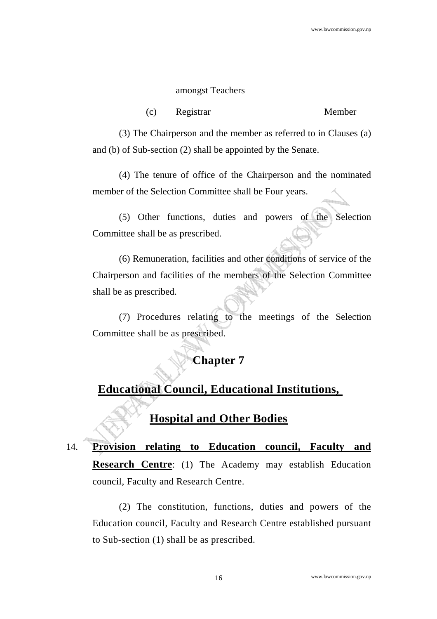#### amongst Teachers

(c) Registrar Member

 (3) The Chairperson and the member as referred to in Clauses (a) and (b) of Sub-section (2) shall be appointed by the Senate.

 (4) The tenure of office of the Chairperson and the nominated member of the Selection Committee shall be Four years.

 (5) Other functions, duties and powers of the Selection Committee shall be as prescribed.

 (6) Remuneration, facilities and other conditions of service of the Chairperson and facilities of the members of the Selection Committee shall be as prescribed.

 (7) Procedures relating to the meetings of the Selection Committee shall be as prescribed.

## **Chapter 7**

## **Educational Council, Educational Institutions,**

**Hospital and Other Bodies**

14. **Provision relating to Education council, Faculty and Research Centre**: (1) The Academy may establish Education council, Faculty and Research Centre.

 (2) The constitution, functions, duties and powers of the Education council, Faculty and Research Centre established pursuant to Sub-section (1) shall be as prescribed.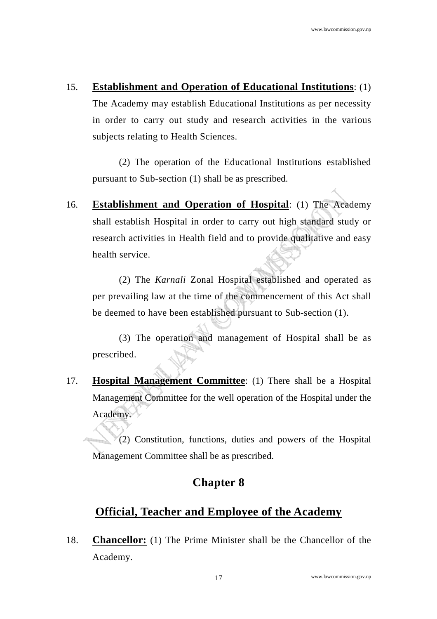#### 15. **Establishment and Operation of Educational Institutions**: (1)

The Academy may establish Educational Institutions as per necessity in order to carry out study and research activities in the various subjects relating to Health Sciences.

 (2) The operation of the Educational Institutions established pursuant to Sub-section (1) shall be as prescribed.

16. **Establishment and Operation of Hospital**: (1) The Academy shall establish Hospital in order to carry out high standard study or research activities in Health field and to provide qualitative and easy health service.

 (2) The *Karnali* Zonal Hospital established and operated as per prevailing law at the time of the commencement of this Act shall be deemed to have been established pursuant to Sub-section (1).

 (3) The operation and management of Hospital shall be as prescribed.

17. **Hospital Management Committee**: (1) There shall be a Hospital Management Committee for the well operation of the Hospital under the Academy.

 (2) Constitution, functions, duties and powers of the Hospital Management Committee shall be as prescribed.

#### **Chapter 8**

## **Official, Teacher and Employee of the Academy**

18. **Chancellor:** (1) The Prime Minister shall be the Chancellor of the Academy.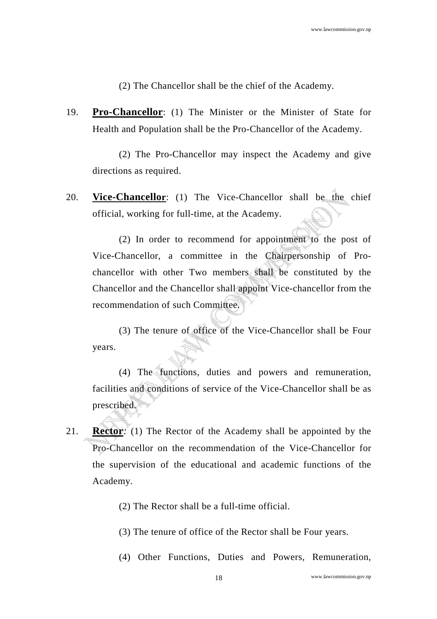(2) The Chancellor shall be the chief of the Academy.

19. **Pro-Chancellor**: (1) The Minister or the Minister of State for Health and Population shall be the Pro-Chancellor of the Academy.

 (2) The Pro-Chancellor may inspect the Academy and give directions as required.

20. **Vice-Chancellor**: (1) The Vice-Chancellor shall be the chief official, working for full-time, at the Academy.

 (2) In order to recommend for appointment to the post of Vice-Chancellor, a committee in the Chairpersonship of Prochancellor with other Two members shall be constituted by the Chancellor and the Chancellor shall appoint Vice-chancellor from the recommendation of such Committee.

 (3) The tenure of office of the Vice-Chancellor shall be Four years.

 (4) The functions, duties and powers and remuneration, facilities and conditions of service of the Vice-Chancellor shall be as prescribed.

- 21. **Rector***:* (1) The Rector of the Academy shall be appointed by the Pro-Chancellor on the recommendation of the Vice-Chancellor for the supervision of the educational and academic functions of the Academy.
	- (2) The Rector shall be a full-time official.
	- (3) The tenure of office of the Rector shall be Four years.
	- (4) Other Functions, Duties and Powers, Remuneration,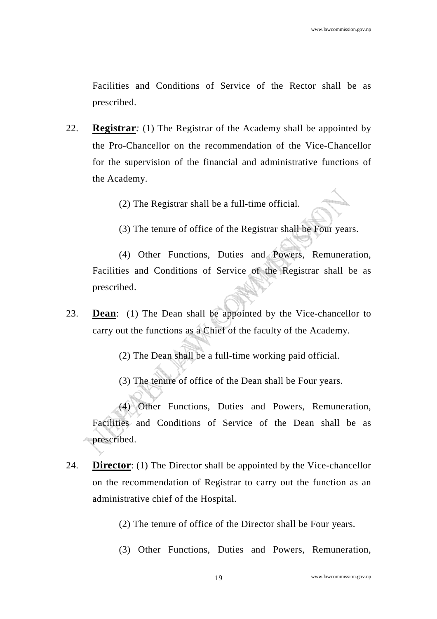Facilities and Conditions of Service of the Rector shall be as prescribed.

22. **Registrar***:* (1) The Registrar of the Academy shall be appointed by the Pro-Chancellor on the recommendation of the Vice-Chancellor for the supervision of the financial and administrative functions of the Academy.

(2) The Registrar shall be a full-time official.

(3) The tenure of office of the Registrar shall be Four years.

(4) Other Functions, Duties and Powers, Remuneration, Facilities and Conditions of Service of the Registrar shall be as prescribed.

- 23. **Dean**: (1) The Dean shall be appointed by the Vice-chancellor to carry out the functions as a Chief of the faculty of the Academy.
	- (2) The Dean shall be a full-time working paid official.
	- (3) The tenure of office of the Dean shall be Four years.

(4) Other Functions, Duties and Powers, Remuneration, Facilities and Conditions of Service of the Dean shall be as prescribed.

- 24. **Director**: (1) The Director shall be appointed by the Vice-chancellor on the recommendation of Registrar to carry out the function as an administrative chief of the Hospital.
	- (2) The tenure of office of the Director shall be Four years.
	- (3) Other Functions, Duties and Powers, Remuneration,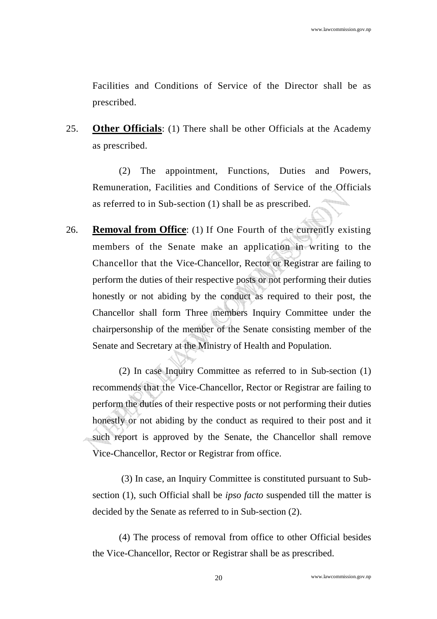Facilities and Conditions of Service of the Director shall be as prescribed.

25. **Other Officials**: (1) There shall be other Officials at the Academy as prescribed.

(2) The appointment, Functions, Duties and Powers, Remuneration, Facilities and Conditions of Service of the Officials as referred to in Sub-section (1) shall be as prescribed.

26. **Removal from Office**: (1) If One Fourth of the currently existing members of the Senate make an application in writing to the Chancellor that the Vice-Chancellor, Rector or Registrar are failing to perform the duties of their respective posts or not performing their duties honestly or not abiding by the conduct as required to their post, the Chancellor shall form Three members Inquiry Committee under the chairpersonship of the member of the Senate consisting member of the Senate and Secretary at the Ministry of Health and Population.

(2) In case Inquiry Committee as referred to in Sub-section (1) recommends that the Vice-Chancellor, Rector or Registrar are failing to perform the duties of their respective posts or not performing their duties honestly or not abiding by the conduct as required to their post and it such report is approved by the Senate, the Chancellor shall remove Vice-Chancellor, Rector or Registrar from office.

 (3) In case, an Inquiry Committee is constituted pursuant to Subsection (1), such Official shall be *ipso facto* suspended till the matter is decided by the Senate as referred to in Sub-section (2).

(4) The process of removal from office to other Official besides the Vice-Chancellor, Rector or Registrar shall be as prescribed.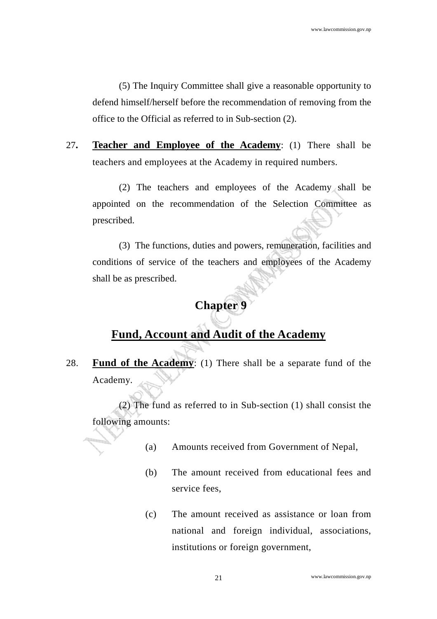(5) The Inquiry Committee shall give a reasonable opportunity to defend himself/herself before the recommendation of removing from the office to the Official as referred to in Sub-section (2).

27**. Teacher and Employee of the Academy**: (1) There shall be teachers and employees at the Academy in required numbers.

 (2) The teachers and employees of the Academy shall be appointed on the recommendation of the Selection Committee as prescribed.

(3) The functions, duties and powers, remuneration, facilities and conditions of service of the teachers and employees of the Academy shall be as prescribed.

## **Chapter 9**

## **Fund, Account and Audit of the Academy**

28. **Fund of the Academy**: (1) There shall be a separate fund of the Academy.

(2) The fund as referred to in Sub-section (1) shall consist the following amounts:

- (a) Amounts received from Government of Nepal,
- (b) The amount received from educational fees and service fees,
- (c) The amount received as assistance or loan from national and foreign individual, associations, institutions or foreign government,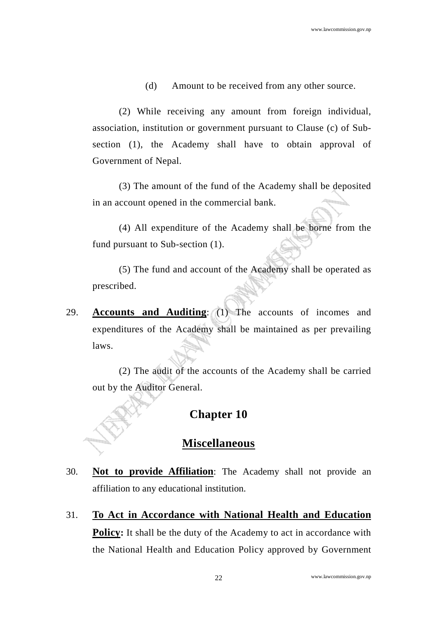(d) Amount to be received from any other source.

 (2) While receiving any amount from foreign individual, association, institution or government pursuant to Clause (c) of Subsection (1), the Academy shall have to obtain approval of Government of Nepal.

 (3) The amount of the fund of the Academy shall be deposited in an account opened in the commercial bank.

 (4) All expenditure of the Academy shall be borne from the fund pursuant to Sub-section (1).

 (5) The fund and account of the Academy shall be operated as prescribed.

29. **Accounts and Auditing**: (1) The accounts of incomes and expenditures of the Academy shall be maintained as per prevailing laws.

 (2) The audit of the accounts of the Academy shall be carried out by the Auditor General.

#### **Chapter 10**

#### **Miscellaneous**

- 30. **Not to provide Affiliation**: The Academy shall not provide an affiliation to any educational institution.
- 31. **To Act in Accordance with National Health and Education Policy:** It shall be the duty of the Academy to act in accordance with the National Health and Education Policy approved by Government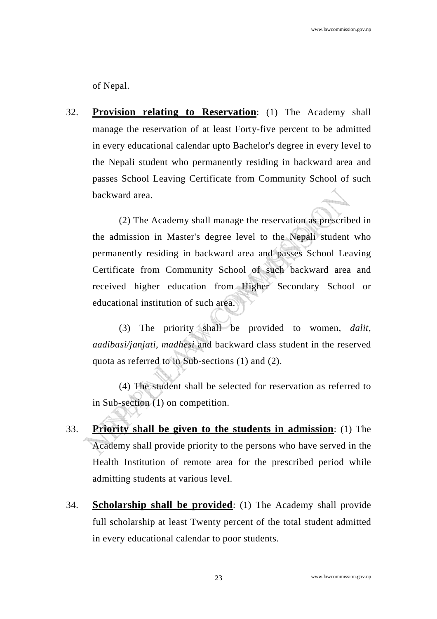of Nepal.

32. **Provision relating to Reservation**: (1) The Academy shall manage the reservation of at least Forty-five percent to be admitted in every educational calendar upto Bachelor's degree in every level to the Nepali student who permanently residing in backward area and passes School Leaving Certificate from Community School of such backward area.

 (2) The Academy shall manage the reservation as prescribed in the admission in Master's degree level to the Nepali student who permanently residing in backward area and passes School Leaving Certificate from Community School of such backward area and received higher education from Higher Secondary School or educational institution of such area.

 (3) The priority shall be provided to women, *dalit*, *aadibasi/janjati, madhesi* and backward class student in the reserved quota as referred to in Sub-sections (1) and (2).

(4) The student shall be selected for reservation as referred to in Sub-section (1) on competition.

- 33. **Priority shall be given to the students in admission**: (1) The Academy shall provide priority to the persons who have served in the Health Institution of remote area for the prescribed period while admitting students at various level.
- 34. **Scholarship shall be provided**: (1) The Academy shall provide full scholarship at least Twenty percent of the total student admitted in every educational calendar to poor students.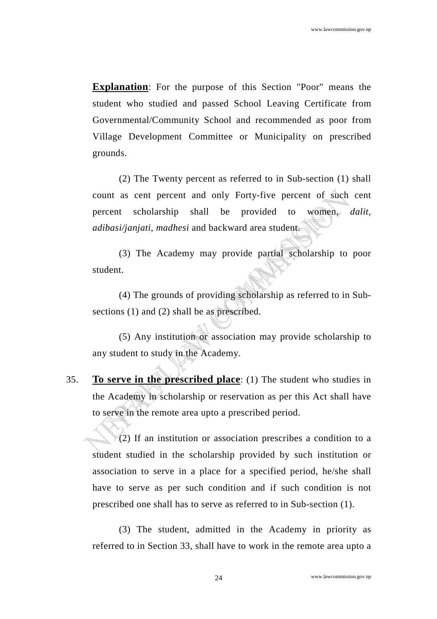**Explanation**: For the purpose of this Section "Poor" means the student who studied and passed School Leaving Certificate from Governmental/Community School and recommended as poor from Village Development Committee or Municipality on prescribed grounds.

 (2) The Twenty percent as referred to in Sub-section (1) shall count as cent percent and only Forty-five percent of such cent percent scholarship shall be provided to women, *dalit, adibasi/janjati, madhesi* and backward area student.

 (3) The Academy may provide partial scholarship to poor student.

 (4) The grounds of providing scholarship as referred to in Subsections (1) and (2) shall be as prescribed.

 (5) Any institution or association may provide scholarship to any student to study in the Academy.

35. **To serve in the prescribed place**: (1) The student who studies in the Academy in scholarship or reservation as per this Act shall have to serve in the remote area upto a prescribed period.

 $(2)$  If an institution or association prescribes a condition to a student studied in the scholarship provided by such institution or association to serve in a place for a specified period, he/she shall have to serve as per such condition and if such condition is not prescribed one shall has to serve as referred to in Sub-section (1).

 (3) The student, admitted in the Academy in priority as referred to in Section 33, shall have to work in the remote area upto a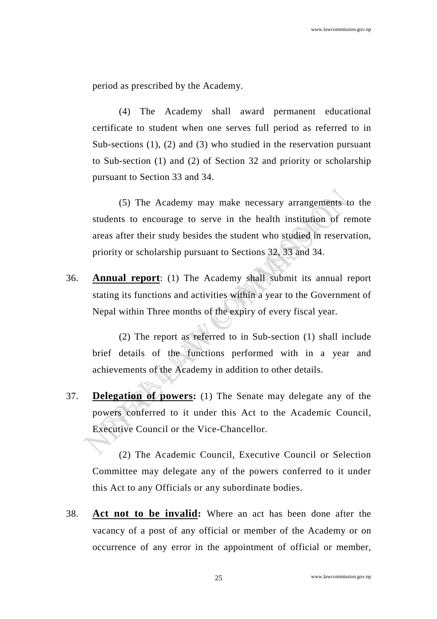period as prescribed by the Academy.

 (4) The Academy shall award permanent educational certificate to student when one serves full period as referred to in Sub-sections (1), (2) and (3) who studied in the reservation pursuant to Sub-section (1) and (2) of Section 32 and priority or scholarship pursuant to Section 33 and 34.

 (5) The Academy may make necessary arrangements to the students to encourage to serve in the health institution of remote areas after their study besides the student who studied in reservation, priority or scholarship pursuant to Sections 32, 33 and 34.

36. **Annual report**: (1) The Academy shall submit its annual report stating its functions and activities within a year to the Government of Nepal within Three months of the expiry of every fiscal year.

 (2) The report as referred to in Sub-section (1) shall include brief details of the functions performed with in a year and achievements of the Academy in addition to other details.

37. **Delegation of powers:** (1) The Senate may delegate any of the powers conferred to it under this Act to the Academic Council, Executive Council or the Vice-Chancellor.

(2) The Academic Council, Executive Council or Selection Committee may delegate any of the powers conferred to it under this Act to any Officials or any subordinate bodies.

38. **Act not to be invalid:** Where an act has been done after the vacancy of a post of any official or member of the Academy or on occurrence of any error in the appointment of official or member,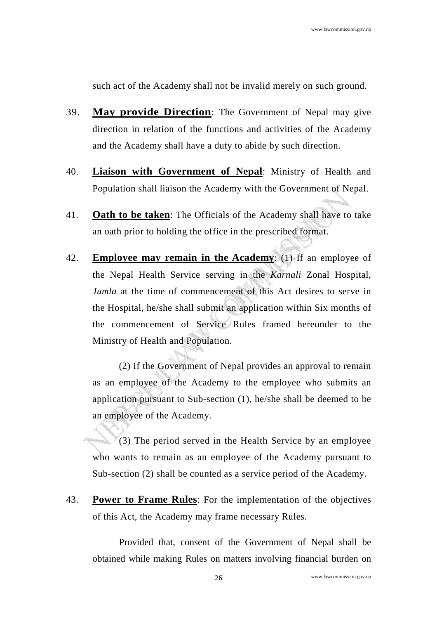such act of the Academy shall not be invalid merely on such ground.

- 39. **May provide Direction**: The Government of Nepal may give direction in relation of the functions and activities of the Academy and the Academy shall have a duty to abide by such direction.
- 40. **Liaison with Government of Nepal**: Ministry of Health and Population shall liaison the Academy with the Government of Nepal.
- 41. **Oath to be taken**: The Officials of the Academy shall have to take an oath prior to holding the office in the prescribed format.
- 42. **Employee may remain in the Academy**: (1) If an employee of the Nepal Health Service serving in the *Karnali* Zonal Hospital, *Jumla* at the time of commencement of this Act desires to serve in the Hospital, he/she shall submit an application within Six months of the commencement of Service Rules framed hereunder to the Ministry of Health and Population.

 (2) If the Government of Nepal provides an approval to remain as an employee of the Academy to the employee who submits an application pursuant to Sub-section (1), he/she shall be deemed to be an employee of the Academy.

 (3) The period served in the Health Service by an employee who wants to remain as an employee of the Academy pursuant to Sub-section (2) shall be counted as a service period of the Academy.

43. **Power to Frame Rules**: For the implementation of the objectives of this Act, the Academy may frame necessary Rules.

 Provided that, consent of the Government of Nepal shall be obtained while making Rules on matters involving financial burden on